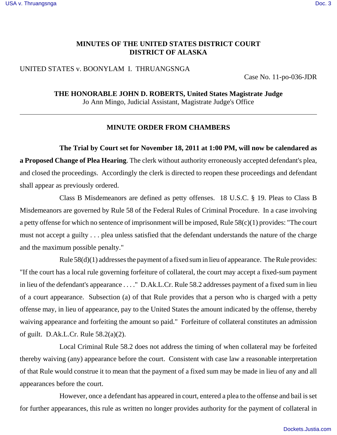# **MINUTES OF THE UNITED STATES DISTRICT COURT DISTRICT OF ALASKA**

## UNITED STATES v. BOONYLAM I. THRUANGSNGA

Case No. 11-po-036-JDR

**THE HONORABLE JOHN D. ROBERTS, United States Magistrate Judge** Jo Ann Mingo, Judicial Assistant, Magistrate Judge's Office

### **MINUTE ORDER FROM CHAMBERS**

**The Trial by Court set for November 18, 2011 at 1:00 PM, will now be calendared as a Proposed Change of Plea Hearing**. The clerk without authority erroneously accepted defendant's plea, and closed the proceedings. Accordingly the clerk is directed to reopen these proceedings and defendant shall appear as previously ordered.

Class B Misdemeanors are defined as petty offenses. 18 U.S.C. § 19. Pleas to Class B Misdemeanors are governed by Rule 58 of the Federal Rules of Criminal Procedure. In a case involving a petty offense for which no sentence of imprisonment will be imposed, Rule 58(c)(1) provides: "The court must not accept a guilty . . . plea unless satisfied that the defendant understands the nature of the charge and the maximum possible penalty."

Rule 58(d)(1) addresses the payment of a fixed sum in lieu of appearance. The Rule provides: "If the court has a local rule governing forfeiture of collateral, the court may accept a fixed-sum payment in lieu of the defendant's appearance . . . ." D.Ak.L.Cr. Rule 58.2 addresses payment of a fixed sum in lieu of a court appearance. Subsection (a) of that Rule provides that a person who is charged with a petty offense may, in lieu of appearance, pay to the United States the amount indicated by the offense, thereby waiving appearance and forfeiting the amount so paid." Forfeiture of collateral constitutes an admission of guilt. D.Ak.L.Cr. Rule 58.2(a)(2).

Local Criminal Rule 58.2 does not address the timing of when collateral may be forfeited thereby waiving (any) appearance before the court. Consistent with case law a reasonable interpretation of that Rule would construe it to mean that the payment of a fixed sum may be made in lieu of any and all appearances before the court.

However, once a defendant has appeared in court, entered a plea to the offense and bail is set for further appearances, this rule as written no longer provides authority for the payment of collateral in